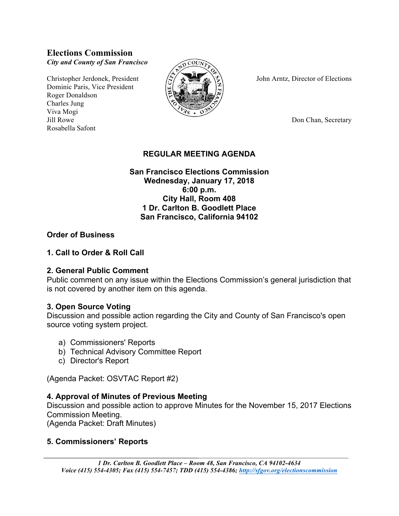# **Elections Commission** *City and County of San Francisco*

Dominic Paris, Vice President Roger Donaldson Charles Jung Viva Mogi Jill Rowe Don Chan, Secretary Rosabella Safont



Christopher Jerdonek, President  $\left(\frac{1}{2}\right)$   $\frac{1}{2}$   $\frac{1}{2}$  John Arntz, Director of Elections

## **REGULAR MEETING AGENDA**

#### **San Francisco Elections Commission Wednesday, January 17, 2018 6:00 p.m. City Hall, Room 408 1 Dr. Carlton B. Goodlett Place San Francisco, California 94102**

#### **Order of Business**

#### **1. Call to Order & Roll Call**

#### **2. General Public Comment**

Public comment on any issue within the Elections Commission's general jurisdiction that is not covered by another item on this agenda.

#### **3. Open Source Voting**

Discussion and possible action regarding the City and County of San Francisco's open source voting system project.

- a) Commissioners' Reports
- b) Technical Advisory Committee Report
- c) Director's Report

(Agenda Packet: OSVTAC Report #2)

#### **4. Approval of Minutes of Previous Meeting**

Discussion and possible action to approve Minutes for the November 15, 2017 Elections Commission Meeting.

(Agenda Packet: Draft Minutes)

#### **5. Commissioners' Reports**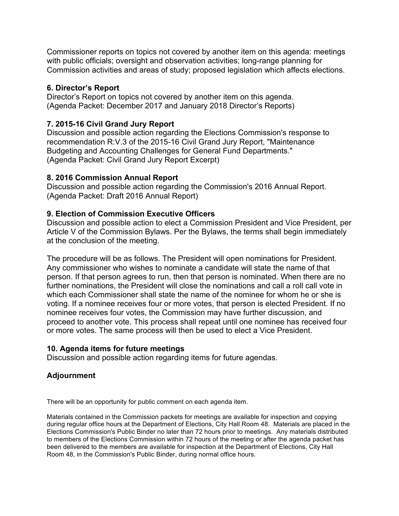Commissioner reports on topics not covered by another item on this agenda: meetings with public officials; oversight and observation activities; long-range planning for Commission activities and areas of study; proposed legislation which affects elections.

### **6. Director's Report**

Director's Report on topics not covered by another item on this agenda. (Agenda Packet: December 2017 and January 2018 Director's Reports)

## **7. 2015-16 Civil Grand Jury Report**

Discussion and possible action regarding the Elections Commission's response to recommendation R:V.3 of the 2015-16 Civil Grand Jury Report, "Maintenance Budgeting and Accounting Challenges for General Fund Departments." (Agenda Packet: Civil Grand Jury Report Excerpt)

#### **8. 2016 Commission Annual Report**

Discussion and possible action regarding the Commission's 2016 Annual Report. (Agenda Packet: Draft 2016 Annual Report)

## **9. Election of Commission Executive Officers**

Discussion and possible action to elect a Commission President and Vice President, per Article V of the Commission Bylaws. Per the Bylaws, the terms shall begin immediately at the conclusion of the meeting.

The procedure will be as follows. The President will open nominations for President. Any commissioner who wishes to nominate a candidate will state the name of that person. If that person agrees to run, then that person is nominated. When there are no further nominations, the President will close the nominations and call a roll call vote in which each Commissioner shall state the name of the nominee for whom he or she is voting. If a nominee receives four or more votes, that person is elected President. If no nominee receives four votes, the Commission may have further discussion, and proceed to another vote. This process shall repeat until one nominee has received four or more votes. The same process will then be used to elect a Vice President.

#### **10. Agenda items for future meetings**

Discussion and possible action regarding items for future agendas.

# **Adjournment**

There will be an opportunity for public comment on each agenda item.

Materials contained in the Commission packets for meetings are available for inspection and copying during regular office hours at the Department of Elections, City Hall Room 48. Materials are placed in the Elections Commission's Public Binder no later than 72 hours prior to meetings. Any materials distributed to members of the Elections Commission within 72 hours of the meeting or after the agenda packet has been delivered to the members are available for inspection at the Department of Elections, City Hall Room 48, in the Commission's Public Binder, during normal office hours.